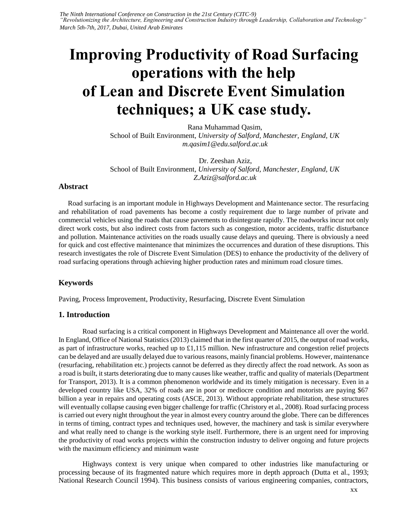*The Ninth International Conference on Construction in the 21st Century (CITC-9) "Revolutionizing the Architecture, Engineering and Construction Industry through Leadership, Collaboration and Technology" March 5th-7th, 2017, Dubai, United Arab Emirates* 

# **Improving Productivity of Road Surfacing operations with the help of Lean and Discrete Event Simulation techniques; a UK case study.**

[Rana Muhammad Qasim,](mailto:m.qasim1@edu.salford.ac.uk)  School of Built Environment*, University of Salford, Manchester, England, UK m.qasim1@edu.salford.ac.uk*

[Dr. Zeeshan Aziz,](mailto:Z.Aziz@salford.ac.uk)  School of Built Environment*, University of Salford, Manchester, England, UK Z.Aziz@salford.ac.uk*

#### **Abstract**

Road surfacing is an important module in Highways Development and Maintenance sector. The resurfacing and rehabilitation of road pavements has become a costly requirement due to large number of private and commercial vehicles using the roads that cause pavements to disintegrate rapidly. The roadworks incur not only direct work costs, but also indirect costs from factors such as congestion, motor accidents, traffic disturbance and pollution. Maintenance activities on the roads usually cause delays and queuing. There is obviously a need for quick and cost effective maintenance that minimizes the occurrences and duration of these disruptions. This research investigates the role of Discrete Event Simulation (DES) to enhance the productivity of the delivery of road surfacing operations through achieving higher production rates and minimum road closure times.

### **Keywords**

Paving, Process Improvement, Productivity, Resurfacing, Discrete Event Simulation

#### **1. Introduction**

Road surfacing is a critical component in Highways Development and Maintenance all over the world. In England, Office of National Statistics (2013) claimed that in the first quarter of 2015, the output of road works, as part of infrastructure works, reached up to £1,115 million. New infrastructure and congestion relief projects can be delayed and are usually delayed due to various reasons, mainly financial problems. However, maintenance (resurfacing, rehabilitation etc.) projects cannot be deferred as they directly affect the road network. As soon as a road is built, it starts deteriorating due to many causes like weather, traffic and quality of materials (Department for Transport, 2013). It is a common phenomenon worldwide and its timely mitigation is necessary. Even in a developed country like USA, 32% of roads are in poor or mediocre condition and motorists are paying \$67 billion a year in repairs and operating costs (ASCE, 2013). Without appropriate rehabilitation, these structures will eventually collapse causing even bigger challenge for traffic (Christory et al., 2008). Road surfacing process is carried out every night throughout the year in almost every country around the globe. There can be differences in terms of timing, contract types and techniques used, however, the machinery and task is similar everywhere and what really need to change is the working style itself. Furthermore, there is an urgent need for improving the productivity of road works projects within the construction industry to deliver ongoing and future projects with the maximum efficiency and minimum waste

Highways context is very unique when compared to other industries like manufacturing or processing because of its fragmented nature which requires more in depth approach (Dutta et al., 1993; National Research Council 1994). This business consists of various engineering companies, contractors,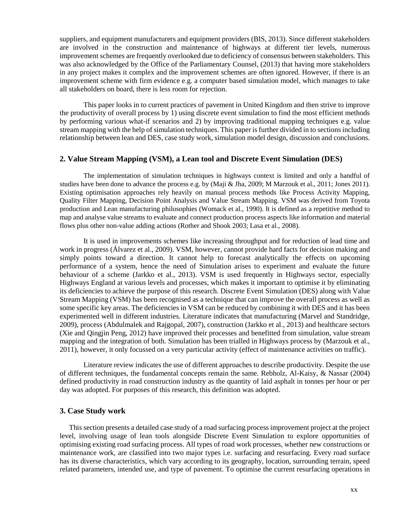suppliers, and equipment manufacturers and equipment providers (BIS, 2013). Since different stakeholders are involved in the construction and maintenance of highways at different tier levels, numerous improvement schemes are frequently overlooked due to deficiency of consensus between stakeholders. This was also acknowledged by the Office of the Parliamentary Counsel, (2013) that having more stakeholders in any project makes it complex and the improvement schemes are often ignored. However, if there is an improvement scheme with firm evidence e.g. a computer based simulation model, which manages to take all stakeholders on board, there is less room for rejection.

This paper looks in to current practices of pavement in United Kingdom and then strive to improve the productivity of overall process by 1) using discrete event simulation to find the most efficient methods by performing various what-if scenarios and 2) by improving traditional mapping techniques e.g. value stream mapping with the help of simulation techniques. This paper is further divided in to sections including relationship between lean and DES, case study work, simulation model design, discussion and conclusions.

#### **2. Value Stream Mapping (VSM), a Lean tool and Discrete Event Simulation (DES)**

The implementation of simulation techniques in highways context is limited and only a handful of studies have been done to advance the process e.g. by (Maji & Jha, 2009; M Marzouk et al., 2011; Jones 2011). Existing optimisation approaches rely heavily on manual process methods like Process Activity Mapping, Quality Filter Mapping, Decision Point Analysis and Value Stream Mapping. VSM was derived from Toyota production and Lean manufacturing philosophies (Womack et al., 1990). It is defined as a repetitive method to map and analyse value streams to evaluate and connect production process aspects like information and material flows plus other non-value adding actions (Rother and Shook 2003; Lasa et al., 2008).

It is used in improvements schemes like increasing throughput and for reduction of lead time and work in progress (Álvarez et al., 2009). VSM, however, cannot provide hard facts for decision making and simply points toward a direction. It cannot help to forecast analytically the effects on upcoming performance of a system, hence the need of Simulation arises to experiment and evaluate the future behaviour of a scheme (Jarkko et al., 2013). VSM is used frequently in Highways sector, especially Highways England at various levels and processes, which makes it important to optimise it by eliminating its deficiencies to achieve the purpose of this research. Discrete Event Simulation (DES) along with Value Stream Mapping (VSM) has been recognised as a technique that can improve the overall process as well as some specific key areas. The deficiencies in VSM can be reduced by combining it with DES and it has been experimented well in different industries. Literature indicates that manufacturing (Marvel and Standridge, 2009), process (Abdulmalek and Rajgopal, 2007), construction (Jarkko et al., 2013) and healthcare sectors (Xie and Qingjin Peng, 2012) have improved their processes and benefitted from simulation, value stream mapping and the integration of both. Simulation has been trialled in Highways process by (Marzouk et al., 2011), however, it only focussed on a very particular activity (effect of maintenance activities on traffic).

Literature review indicates the use of different approaches to describe productivity. Despite the use of different techniques, the fundamental concepts remain the same. Rebholz, Al-Kaisy, & Nassar (2004) defined productivity in road construction industry as the quantity of laid asphalt in tonnes per hour or per day was adopted. For purposes of this research, this definition was adopted.

## **3. Case Study work**

This section presents a detailed case study of a road surfacing process improvement project at the project level, involving usage of lean tools alongside Discrete Event Simulation to explore opportunities of optimising existing road surfacing process. All types of road work processes, whether new constructions or maintenance work, are classified into two major types i.e. surfacing and resurfacing. Every road surface has its diverse characteristics, which vary according to its geography, location, surrounding terrain, speed related parameters, intended use, and type of pavement. To optimise the current resurfacing operations in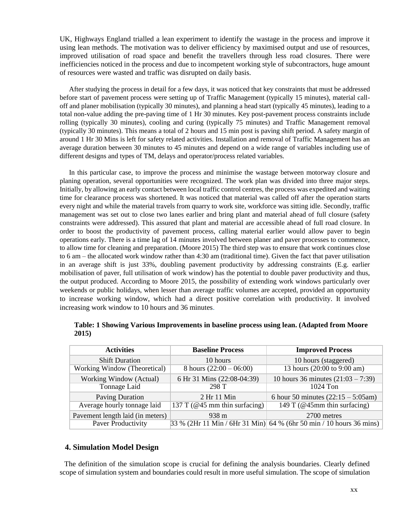UK, Highways England trialled a lean experiment to identify the wastage in the process and improve it using lean methods. The motivation was to deliver efficiency by maximised output and use of resources, improved utilisation of road space and benefit the travellers through less road closures. There were inefficiencies noticed in the process and due to incompetent working style of subcontractors, huge amount of resources were wasted and traffic was disrupted on daily basis.

After studying the process in detail for a few days, it was noticed that key constraints that must be addressed before start of pavement process were setting up of Traffic Management (typically 15 minutes), material calloff and planer mobilisation (typically 30 minutes), and planning a head start (typically 45 minutes), leading to a total non-value adding the pre-paving time of 1 Hr 30 minutes. Key post-pavement process constraints include rolling (typically 30 minutes), cooling and curing (typically 75 minutes) and Traffic Management removal (typically 30 minutes). This means a total of 2 hours and 15 min post is paving shift period. A safety margin of around 1 Hr 30 Mins is left for safety related activities. Installation and removal of Traffic Management has an average duration between 30 minutes to 45 minutes and depend on a wide range of variables including use of different designs and types of TM, delays and operator/process related variables.

In this particular case, to improve the process and minimise the wastage between motorway closure and planing operation, several opportunities were recognized. The work plan was divided into three major steps. Initially, by allowing an early contact between local traffic control centres, the process was expedited and waiting time for clearance process was shortened. It was noticed that material was called off after the operation starts every night and while the material travels from quarry to work site, workforce was sitting idle. Secondly, traffic management was set out to close two lanes earlier and bring plant and material ahead of full closure (safety constraints were addressed). This assured that plant and material are accessible ahead of full road closure. In order to boost the productivity of pavement process, calling material earlier would allow paver to begin operations early. There is a time lag of 14 minutes involved between planer and paver processes to commence, to allow time for cleaning and preparation. (Moore 2015) The third step was to ensure that work continues close to 6 am – the allocated work window rather than 4:30 am (traditional time). Given the fact that paver utilisation in an average shift is just 33%, doubling pavement productivity by addressing constraints (E.g. earlier mobilisation of paver, full utilisation of work window) has the potential to double paver productivity and thus, the output produced. According to Moore 2015, the possibility of extending work windows particularly over weekends or public holidays, when lesser than average traffic volumes are accepted, provided an opportunity to increase working window, which had a direct positive correlation with productivity. It involved increasing work window to 10 hours and 36 minutes.

| <b>Activities</b>                | <b>Baseline Process</b>          | <b>Improved Process</b>                                               |
|----------------------------------|----------------------------------|-----------------------------------------------------------------------|
| <b>Shift Duration</b>            | 10 hours                         | 10 hours (staggered)                                                  |
| Working Window (Theoretical)     | 8 hours $(22:00 - 06:00)$        | 13 hours (20:00 to 9:00 am)                                           |
| Working Window (Actual)          | 6 Hr 31 Mins (22:08-04:39)       | 10 hours 36 minutes $(21:03 - 7:39)$                                  |
| Tonnage Laid                     | 298 T                            | $1024$ Ton                                                            |
| <b>Paving Duration</b>           | 2 Hr 11 Min                      | 6 hour 50 minutes $(22:15 - 5:05)$ am)                                |
| Average hourly tonnage laid      | 137 T ( $@45$ mm thin surfacing) | 149 T ( $@45$ mm thin surfacing)                                      |
| Pavement length laid (in meters) | 938 m                            | 2700 metres                                                           |
| Paver Productivity               |                                  | $33\%$ (2Hr 11 Min / 6Hr 31 Min) 64 % (6hr 50 min / 10 hours 36 mins) |

**Table: 1 Showing Various Improvements in baseline process using lean. (Adapted from Moore 2015)**

#### **4. Simulation Model Design**

The definition of the simulation scope is crucial for defining the analysis boundaries. Clearly defined scope of simulation system and boundaries could result in more useful simulation. The scope of simulation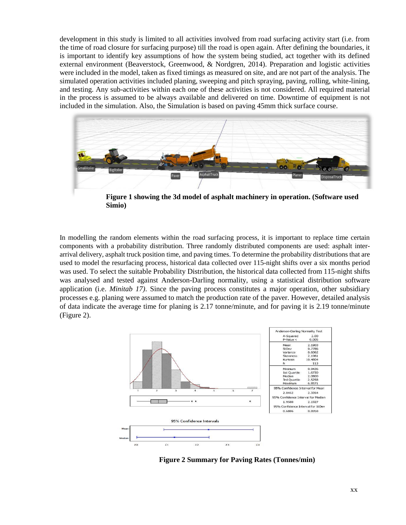development in this study is limited to all activities involved from road surfacing activity start (i.e. from the time of road closure for surfacing purpose) till the road is open again. After defining the boundaries, it is important to identify key assumptions of how the system being studied, act together with its defined external environment (Beaverstock, Greenwood, & Nordgren, 2014). Preparation and logistic activities were included in the model, taken as fixed timings as measured on site, and are not part of the analysis. The simulated operation activities included planing, sweeping and pitch spraying, paving, rolling, white-lining, and testing. Any sub-activities within each one of these activities is not considered. All required material in the process is assumed to be always available and delivered on time. Downtime of equipment is not included in the simulation. Also, the Simulation is based on paving 45mm thick surface course.



**Figure 1 showing the 3d model of asphalt machinery in operation. (Software used Simio)**

In modelling the random elements within the road surfacing process, it is important to replace time certain components with a probability distribution. Three randomly distributed components are used: asphalt interarrival delivery, asphalt truck position time, and paving times. To determine the probability distributions that are used to model the resurfacing process, historical data collected over 115-night shifts over a six months period was used. To select the suitable Probability Distribution, the historical data collected from 115-night shifts was analysed and tested against Anderson-Darling normality, using a statistical distribution software application (i.e. *Minitab 17)*. Since the paving process constitutes a major operation, other subsidiary processes e.g. planing were assumed to match the production rate of the paver. However, detailed analysis of data indicate the average time for planing is 2.17 tonne/minute, and for paving it is 2.19 tonne/minute (Figure 2).



**Figure 2 Summary for Paving Rates (Tonnes/min)**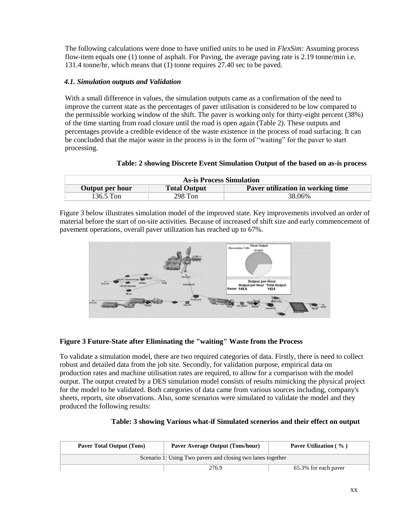The following calculations were done to have unified units to be used in *FlexSim:* Assuming process flow-item equals one (1) tonne of asphalt. For Paving, the average paving rate is 2.19 tonne/min i.e. 131.4 tonne/hr, which means that (1) tonne requires 27.40 sec to be paved.

## *4.1. Simulation outputs and Validation*

With a small difference in values, the simulation outputs came as a confirmation of the need to improve the current state as the percentages of paver utilisation is considered to be low compared to the permissible working window of the shift. The paver is working only for thirty-eight percent (38%) of the time starting from road closure until the road is open again (Table 2). These outputs and percentages provide a credible evidence of the waste existence in the process of road surfacing. It can be concluded that the major waste in the process is in the form of "waiting" for the paver to start processing.

| <b>As-is Process Simulation</b> |                     |                                   |  |  |
|---------------------------------|---------------------|-----------------------------------|--|--|
| Output per hour                 | <b>Total Output</b> | Paver utilization in working time |  |  |
| 136.5 Ton                       | 298 Ton             | 38.06%                            |  |  |

#### **Table: 2 showing Discrete Event Simulation Output of the based on as-is process**

Figure 3 below illustrates simulation model of the improved state. Key improvements involved an order of material before the start of on-site activities. Because of increased of shift size and early commencement of pavement operations, overall paver utilization has reached up to 67%.



## **Figure 3 Future-State after Eliminating the "waiting" Waste from the Process**

To validate a simulation model, there are two required categories of data. Firstly, there is need to collect robust and detailed data from the job site. Secondly, for validation purpose, empirical data on production rates and machine utilisation rates are required, to allow for a comparison with the model output. The output created by a DES simulation model consists of results mimicking the physical project for the model to be validated. Both categories of data came from various sources including, company's sheets, reports, site observations. Also, some scenarios were simulated to validate the model and they produced the following results:

| <b>Paver Total Output (Tons)</b>                            | Paver Average Output (Tons/hour) | Paver Utilization (%) |  |  |
|-------------------------------------------------------------|----------------------------------|-----------------------|--|--|
| Scenario 1: Using Two pavers and closing two lanes together |                                  |                       |  |  |
|                                                             | 276.9                            | 65.3% for each paver  |  |  |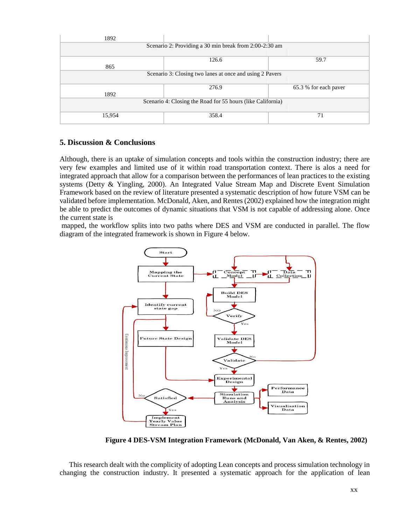| 1892                                                        |       |                       |  |  |
|-------------------------------------------------------------|-------|-----------------------|--|--|
| Scenario 2: Providing a 30 min break from 2:00-2:30 am      |       |                       |  |  |
|                                                             |       |                       |  |  |
|                                                             | 126.6 | 59.7                  |  |  |
| 865                                                         |       |                       |  |  |
| Scenario 3: Closing two lanes at once and using 2 Pavers    |       |                       |  |  |
|                                                             |       |                       |  |  |
|                                                             | 276.9 | 65.3 % for each paver |  |  |
| 1892                                                        |       |                       |  |  |
| Scenario 4: Closing the Road for 55 hours (like California) |       |                       |  |  |
|                                                             |       |                       |  |  |
| 15,954                                                      | 358.4 | 71                    |  |  |
|                                                             |       |                       |  |  |

## **5. Discussion & Conclusions**

Although, there is an uptake of simulation concepts and tools within the construction industry; there are very few examples and limited use of it within road transportation context. There is alos a need for integrated approach that allow for a comparison between the performances of lean practices to the existing systems (Detty & Yingling, 2000). An Integrated Value Stream Map and Discrete Event Simulation Framework based on the review of literature presented a systematic description of how future VSM can be validated before implementation. McDonald, Aken, and Rentes (2002) explained how the integration might be able to predict the outcomes of dynamic situations that VSM is not capable of addressing alone. Once the current state is

mapped, the workflow splits into two paths where DES and VSM are conducted in parallel. The flow diagram of the integrated framework is shown in Figure 4 below.



**Figure 4 DES-VSM Integration Framework (McDonald, Van Aken, & Rentes, 2002)**

This research dealt with the complicity of adopting Lean concepts and process simulation technology in changing the construction industry. It presented a systematic approach for the application of lean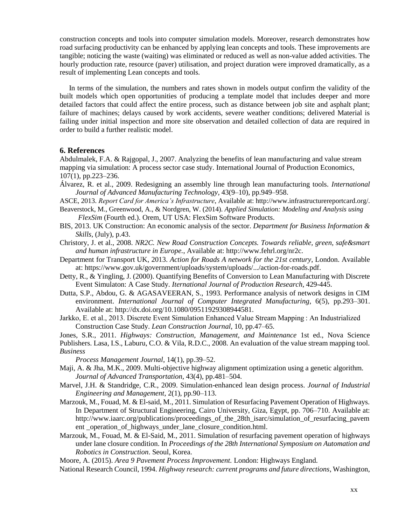construction concepts and tools into computer simulation models. Moreover, research demonstrates how road surfacing productivity can be enhanced by applying lean concepts and tools. These improvements are tangible; noticing the waste (waiting) was eliminated or reduced as well as non-value added activities. The hourly production rate, resource (paver) utilisation, and project duration were improved dramatically, as a result of implementing Lean concepts and tools.

In terms of the simulation, the numbers and rates shown in models output confirm the validity of the built models which open opportunities of producing a template model that includes deeper and more detailed factors that could affect the entire process, such as distance between job site and asphalt plant; failure of machines; delays caused by work accidents, severe weather conditions; delivered Material is failing under initial inspection and more site observation and detailed collection of data are required in order to build a further realistic model.

## **6. References**

Abdulmalek, F.A. & Rajgopal, J., 2007. Analyzing the benefits of lean manufacturing and value stream mapping via simulation: A process sector case study. International Journal of Production Economics, 107(1), pp.223–236.

Álvarez, R. et al., 2009. Redesigning an assembly line through lean manufacturing tools. *International Journal of Advanced Manufacturing Technology*, 43(9–10), pp.949–958.

ASCE, 2013. *Report Card for America's Infrastructure*, Available at: http://www.infrastructurereportcard.org/. Beaverstock, M., Greenwood, A., & Nordgren, W. (2014). *Applied Simulation: Modeling and Analysis using*

- *FlexSim* (Fourth ed.). Orem, UT USA: FlexSim Software Products.
- BIS, 2013. UK Construction: An economic analysis of the sector. *Department for Business Information & Skills*, (July), p.43.
- Christory, J. et al., 2008. *NR2C. New Road Construction Concepts. Towards reliable, green, safe&smart and human infrastructure in Europe.*, Available at: http://www.fehrl.org/nr2c.
- Department for Transport UK, 2013. *Action for Roads A network for the 21st century*, London. Available at: https://www.gov.uk/government/uploads/system/uploads/.../action-for-roads.pdf.
- Detty, R., & Yingling, J. (2000). Quantifying Benefits of Conversion to Lean Manufacturing with Discrete Event Simulaton: A Case Study. *Iternational Journal of Production Research*, 429-445.
- Dutta, S.P., Abdou, G. & AGASAVEERAN, S., 1993. Performance analysis of network designs in CIM environment. *International Journal of Computer Integrated Manufacturing*, 6(5), pp.293–301. Available at: http://dx.doi.org/10.1080/09511929308944581.
- Jarkko, E. et al., 2013. Discrete Event Simulation Enhanced Value Stream Mapping : An Industrialized Construction Case Study. *Lean Construction Journal*, 10, pp.47–65.

Jones, S.R., 2011. *Highways: Construction, Management, and Maintenance* 1st ed., Nova Science

Publishers. Lasa, I.S., Laburu, C.O. & Vila, R.D.C., 2008. An evaluation of the value stream mapping tool. *Business*

*Process Management Journal*, 14(1), pp.39–52.

- Maji, A. & Jha, M.K., 2009. Multi-objective highway alignment optimization using a genetic algorithm. *Journal of Advanced Transportation*, 43(4), pp.481–504.
- Marvel, J.H. & Standridge, C.R., 2009. Simulation-enhanced lean design process. *Journal of Industrial Engineering and Management*, 2(1), pp.90–113.
- Marzouk, M., Fouad, M. & El-said, M., 2011. Simulation of Resurfacing Pavement Operation of Highways. In Department of Structural Engineering, Cairo University, Giza, Egypt, pp. 706–710. Available at: http://www.iaarc.org/publications/proceedings\_of\_the\_28th\_isarc/simulation\_of\_resurfacing\_pavem ent \_operation\_of\_highways\_under\_lane\_closure\_condition.html.
- Marzouk, M., Fouad, M. & El-Said, M., 2011. Simulation of resurfacing pavement operation of highways under lane closure condition. In *Proceedings of the 28th International Symposium on Automation and Robotics in Construction*. Seoul, Korea.

Moore, A. (2015). *Area 9 Pavement Process Improvement.* London: Highways England.

National Research Council, 1994. *Highway research: current programs and future directions*, Washington,